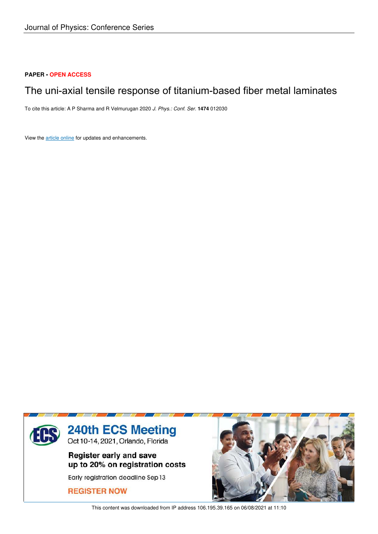# **PAPER • OPEN ACCESS**

# The uni-axial tensile response of titanium-based fiber metal laminates

To cite this article: A P Sharma and R Velmurugan 2020 *J. Phys.: Conf. Ser.* **1474** 012030

View the article online for updates and enhancements.



This content was downloaded from IP address 106.195.39.165 on 06/08/2021 at 11:10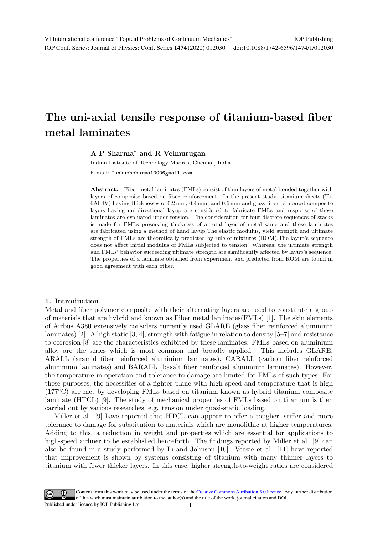# The uni-axial tensile response of titanium-based fiber metal laminates

## A P Sharma<sup>∗</sup> and R Velmurugan

Indian Institute of Technology Madras, Chennai, India E-mail: <sup>∗</sup> ankushsharma1000@gmail.com

Abstract. Fiber metal laminates (FMLs) consist of thin layers of metal bonded together with layers of composite based on fiber reinforcement. In the present study, titanium sheets (Ti-6Al-4V) having thicknesses of 0.2 mm, 0.4 mm, and 0.6 mm and glass-fiber reinforced composite layers having uni-directional layup are considered to fabricate FMLs and response of these laminates are evaluated under tension. The consideration for four discrete sequences of stacks is made for FMLs preserving thickness of a total layer of metal same and these laminates are fabricated using a method of hand layup.The elastic modulus, yield strength and ultimate

strength of FMLs are theoretically predicted by rule of mixtures (ROM).The layup's sequence does not affect initial modulus of FMLs subjected to tension. Whereas, the ultimate strength and FMLs' behavior succeeding ultimate strength are significantly affected by layup's sequence. The properties of a laminate obtained from experiment and predicted from ROM are found in good agreement with each other.

# 1. Introduction

Metal and fiber polymer composite with their alternating layers are used to constitute a group of materials that are hybrid and known as Fiber metal laminates(FMLs) [1]. The skin elements of Airbus A380 extensively considers currently used GLARE (glass fiber reinforced aluminium laminates) [2]. A high static [3, 4], strength with fatigue in relation to density [5–7] and resistance to corrosion [8] are the characteristics exhibited by these laminates. FMLs based on aluminium alloy are the series which is most common and broadly applied. This includes GLARE, ARALL (aramid fiber reinforced aluminium laminates), CARALL (carbon fiber reinforced aluminium laminates) and BARALL (basalt fiber reinforced aluminium laminates). However, the temperature in operation and tolerance to damage are limited for FMLs of such types. For these purposes, the necessities of a fighter plane with high speed and temperature that is high (177◦C) are met by developing FMLs based on titanium known as hybrid titanium composite laminate (HTCL) [9]. The study of mechanical properties of FMLs based on titanium is then carried out by various researches, e.g. tension under quasi-static loading.

Miller et al. [9] have reported that HTCL can appear to offer a tougher, stiffer and more tolerance to damage for substitution to materials which are monolithic at higher temperatures. Adding to this, a reduction in weight and properties which are essential for applications to high-speed airliner to be established henceforth. The findings reported by Miller et al. [9] can also be found in a study performed by Li and Johnson [10]. Veazie et al. [11] have reported that improvement is shown by systems consisting of titanium with many thinner layers to titanium with fewer thicker layers. In this case, higher strength-to-weight ratios are considered

Content from this work may be used under the terms of theCreative Commons Attribution 3.0 licence. Any further distribution of this work must maintain attribution to the author(s) and the title of the work, journal citation and DOI. Published under licence by IOP Publishing Ltd 1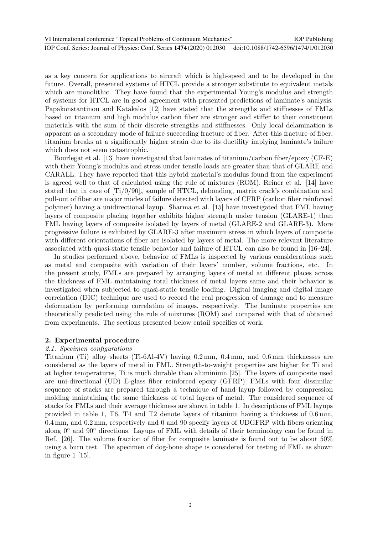as a key concern for applications to aircraft which is high-speed and to be developed in the future. Overall, presented systems of HTCL provide a stronger substitute to equivalent metals which are monolithic. They have found that the experimental Young's modulus and strength of systems for HTCL are in good agreement with presented predictions of laminate's analysis. Papakonstantinou and Katakalos [12] have stated that the strengths and stiffnesses of FMLs based on titanium and high modulus carbon fiber are stronger and stiffer to their constituent materials with the sum of their discrete strengths and stiffnesses. Only local delamination is apparent as a secondary mode of failure succeeding fracture of fiber. After this fracture of fiber, titanium breaks at a significantly higher strain due to its ductility implying laminate's failure which does not seem catastrophic.

Bourlegat et al. [13] have investigated that laminates of titanium/carbon fiber/epoxy (CF-E) with their Young's modulus and stress under tensile loads are greater than that of GLARE and CARALL. They have reported that this hybrid material's modulus found from the experiment is agreed well to that of calculated using the rule of mixtures (ROM). Reiner et al. [14] have stated that in case of  $[Ti/0/90]$ <sub>s</sub> sample of HTCL, debonding, matrix crack's combination and pull-out of fiber are major modes of failure detected with layers of CFRP (carbon fiber reinforced polymer) having a unidirectional layup. Sharma et al. [15] have investigated that FML having layers of composite placing together exhibits higher strength under tension (GLARE-1) than FML having layers of composite isolated by layers of metal (GLARE-2 and GLARE-3). More progressive failure is exhibited by GLARE-3 after maximum stress in which layers of composite with different orientations of fiber are isolated by layers of metal. The more relevant literature associated with quasi-static tensile behavior and failure of HTCL can also be found in [16–24].

In studies performed above, behavior of FMLs is inspected by various considerations such as metal and composite with variation of their layers' number, volume fractions, etc. In the present study, FMLs are prepared by arranging layers of metal at different places across the thickness of FML maintaining total thickness of metal layers same and their behavior is investigated when subjected to quasi-static tensile loading. Digital imaging and digital image correlation (DIC) technique are used to record the real progression of damage and to measure deformation by performing correlation of images, respectively. The laminate properties are theoretically predicted using the rule of mixtures (ROM) and compared with that of obtained from experiments. The sections presented below entail specifics of work.

### 2. Experimental procedure

#### 2.1. Specimen configurations

Titanium (Ti) alloy sheets (Ti-6Al-4V) having 0.2 mm, 0.4 mm, and 0.6 mm thicknesses are considered as the layers of metal in FML. Strength-to-weight properties are higher for Ti and at higher temperatures, Ti is much durable than aluminium [25]. The layers of composite used are uni-directional (UD) E-glass fiber reinforced epoxy (GFRP). FMLs with four dissimilar sequence of stacks are prepared through a technique of hand layup followed by compression molding maintaining the same thickness of total layers of metal. The considered sequence of stacks for FMLs and their average thickness are shown in table 1. In descriptions of FML layups provided in table 1, T6, T4 and T2 denote layers of titanium having a thickness of 0.6 mm, 0.4 mm, and 0.2 mm, respectively and 0 and 90 specify layers of UDGFRP with fibers orienting along 0◦ and 90◦ directions. Layups of FML with details of their terminology can be found in Ref. [26]. The volume fraction of fiber for composite laminate is found out to be about 50% using a burn test. The specimen of dog-bone shape is considered for testing of FML as shown in figure 1 [15].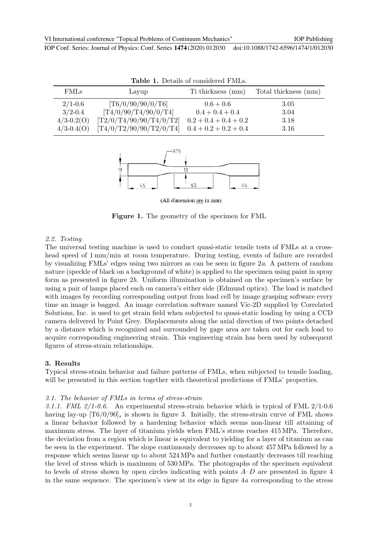| <b>Table 1.</b> Details of considered FMLs. |                         |                         |                      |  |  |  |  |  |
|---------------------------------------------|-------------------------|-------------------------|----------------------|--|--|--|--|--|
| <b>FMLs</b>                                 | Layup                   | Ti thickness (mm)       | Total thickness (mm) |  |  |  |  |  |
| $2/1 - 0.6$                                 | [T6/0/90/90/0/T6]       | $0.6 + 0.6$             | 3.05                 |  |  |  |  |  |
| $3/2 - 0.4$                                 | [T4/0/90/T4/90/0/T4]    | $0.4 + 0.4 + 0.4$       | 3.04                 |  |  |  |  |  |
| $4/3 - 0.2(0)$                              | [T2/0/T4/90/90/T4/0/T2] | $0.2 + 0.4 + 0.4 + 0.2$ | 3.18                 |  |  |  |  |  |
| $4/3 - 0.4(O)$                              | [T4/0/T2/90/90/T2/0/T4] | $0.4 + 0.2 + 0.2 + 0.4$ | 3.16                 |  |  |  |  |  |



(All dimension are in mm)

Figure 1. The geometry of the specimen for FML

#### 2.2. Testing

The universal testing machine is used to conduct quasi-static tensile tests of FMLs at a crosshead speed of  $1 \text{ mm/min}$  at room temperature. During testing, events of failure are recorded by visualizing FMLs' edges using two mirrors as can be seen in figure 2a. A pattern of random nature (speckle of black on a background of white) is applied to the specimen using paint in spray form as presented in figure 2b. Uniform illumination is obtained on the specimen's surface by using a pair of lamps placed each on camera's either side (Edmund optics). The load is matched with images by recording corresponding output from load cell by image grasping software every time an image is bagged. An image correlation software named Vic-2D supplied by Correlated Solutions, Inc. is used to get strain field when subjected to quasi-static loading by using a CCD camera delivered by Point Grey. Displacements along the axial direction of two points detached by a distance which is recognized and surrounded by gage area are taken out for each load to acquire corresponding engineering strain. This engineering strain has been used by subsequent figures of stress-strain relationships.

#### 3. Results

Typical stress-strain behavior and failure patterns of FMLs, when subjected to tensile loading, will be presented in this section together with theoretical predictions of FMLs' properties.

#### 3.1. The behavior of FMLs in terms of stress-strain

3.1.1. FML  $2/1-0.6$ . An experimental stress-strain behavior which is typical of FML  $2/1-0.6$ having lay-up  $[T6/0/90]$ <sub>s</sub> is shown in figure 3. Initially, the stress-strain curve of FML shows a linear behavior followed by a hardening behavior which seems non-linear till attaining of maximum stress. The layer of titanium yields when FML's stress reaches 415 MPa. Therefore, the deviation from a region which is linear is equivalent to yielding for a layer of titanium as can be seen in the experiment. The slope continuously decreases up to about 457 MPa followed by a response which seems linear up to about 524 MPa and further constantly decreases till reaching the level of stress which is maximum of 530 MPa. The photographs of the specimen equivalent to levels of stress shown by open circles indicating with points  $A-D$  are presented in figure 4 in the same sequence. The specimen's view at its edge in figure 4a corresponding to the stress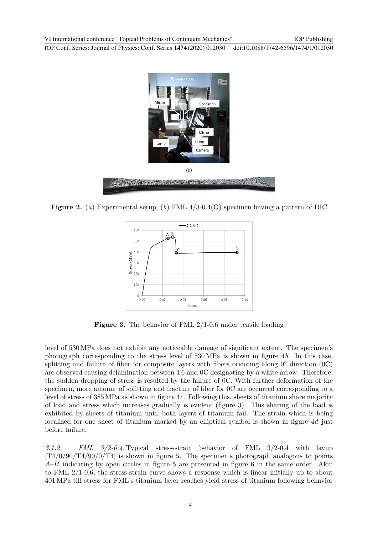

**Figure 2.** (a) Experimental setup, (b) FML  $4/3$ -0.4(O) specimen having a pattern of DIC



Figure 3. The behavior of FML 2/1-0.6 under tensile loading

level of 530 MPa does not exhibit any noticeable damage of significant extent. The specimen's photograph corresponding to the stress level of 530 MPa is shown in figure 4b. In this case, splitting and failure of fiber for composite layers with fibers orienting along  $0°$  direction  $(0)$ . are observed causing delamination between T6 and 0C designating by a white arrow. Therefore, the sudden dropping of stress is resulted by the failure of 0C. With further deformation of the specimen, more amount of splitting and fracture of fiber for 0C are occurred corresponding to a level of stress of 385 MPa as shown in figure 4c. Following this, sheets of titanium share majority of load and stress which increases gradually is evident (figure 3). This sharing of the load is exhibited by sheets of titanium until both layers of titanium fail. The strain which is being localized for one sheet of titanium marked by an elliptical symbol is shown in figure 4d just before failure.

3.1.2. FML 3/2-0.4. Typical stress-strain behavior of FML 3/2-0.4 with layup  $[T4/0/90/T4/90/0/T4]$  is shown in figure 5. The specimen's photograph analogous to points  $A$ –H indicating by open circles in figure 5 are presented in figure 6 in the same order. Akin to FML 2/1-0.6, the stress-strain curve shows a response which is linear initially up to about 401 MPa till stress for FML's titanium layer reaches yield stress of titanium following behavior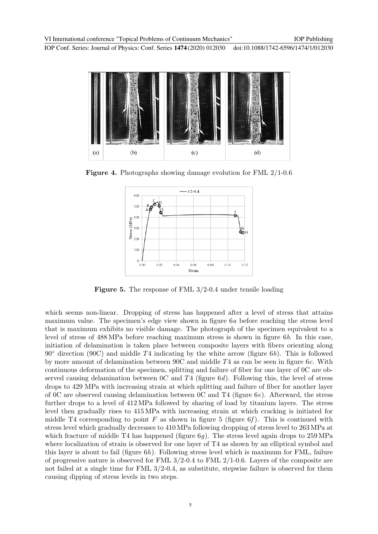

Figure 4. Photographs showing damage evolution for FML 2/1-0.6



Figure 5. The response of FML 3/2-0.4 under tensile loading

which seems non-linear. Dropping of stress has happened after a level of stress that attains maximum value. The specimen's edge view shown in figure 6a before reaching the stress level that is maximum exhibits no visible damage. The photograph of the specimen equivalent to a level of stress of 488 MPa before reaching maximum stress is shown in figure 6b. In this case, initiation of delamination is taken place between composite layers with fibers orienting along  $90^\circ$  direction (90C) and middle T4 indicating by the white arrow (figure 6b). This is followed by more amount of delamination between 90C and middle T4 as can be seen in figure 6c. With continuous deformation of the specimen, splitting and failure of fiber for one layer of 0C are observed causing delamination between  $0C$  and  $T4$  (figure 6d). Following this, the level of stress drops to 429 MPa with increasing strain at which splitting and failure of fiber for another layer of 0C are observed causing delamination between 0C and T4 (figure 6e). Afterward, the stress further drops to a level of 412 MPa followed by sharing of load by titanium layers. The stress level then gradually rises to 415 MPa with increasing strain at which cracking is initiated for middle T4 corresponding to point F as shown in figure 5 (figure 6f). This is continued with stress level which gradually decreases to 410 MPa following dropping of stress level to 263 MPa at which fracture of middle T4 has happened (figure  $6q$ ). The stress level again drops to 259 MPa where localization of strain is observed for one layer of T4 as shown by an elliptical symbol and this layer is about to fail (figure  $6h$ ). Following stress level which is maximum for FML, failure of progressive nature is observed for FML  $3/2$ -0.4 to FML  $2/1$ -0.6. Layers of the composite are not failed at a single time for FML 3/2-0.4, as substitute, stepwise failure is observed for them causing dipping of stress levels in two steps.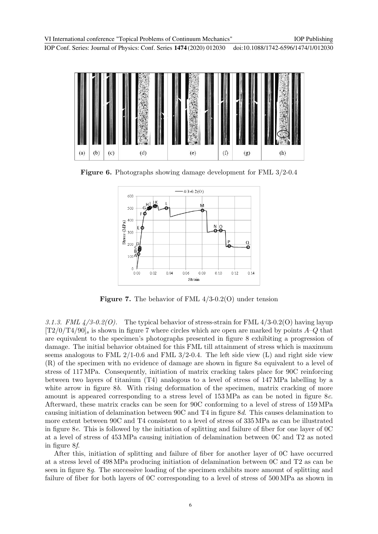VI International conference "Topical Problems of Continuum Mechanics"

IOP Publishing

IOP Conf. Series: Journal of Physics: Conf. Series **1474** (2020) 012030 doi:10.1088/1742-6596/1474/1/012030



Figure 6. Photographs showing damage development for FML 3/2-0.4



**Figure 7.** The behavior of FML  $4/3$ -0.2(O) under tension

3.1.3. FML  $\frac{4}{3}$ -0.2(O). The typical behavior of stress-strain for FML  $\frac{4}{3}$ -0.2(O) having layup  $[T2/0/T4/90]$ <sub>s</sub> is shown in figure 7 where circles which are open are marked by points  $A-Q$  that are equivalent to the specimen's photographs presented in figure 8 exhibiting a progression of damage. The initial behavior obtained for this FML till attainment of stress which is maximum seems analogous to FML  $2/1$ -0.6 and FML  $3/2$ -0.4. The left side view (L) and right side view (R) of the specimen with no evidence of damage are shown in figure 8a equivalent to a level of stress of 117 MPa. Consequently, initiation of matrix cracking takes place for 90C reinforcing between two layers of titanium (T4) analogous to a level of stress of 147 MPa labelling by a white arrow in figure 8b. With rising deformation of the specimen, matrix cracking of more amount is appeared corresponding to a stress level of 153 MPa as can be noted in figure 8c. Afterward, these matrix cracks can be seen for 90C conforming to a level of stress of 159 MPa causing initiation of delamination between 90C and T4 in figure 8d. This causes delamination to more extent between 90C and T4 consistent to a level of stress of 335 MPa as can be illustrated in figure 8e. This is followed by the initiation of splitting and failure of fiber for one layer of 0C at a level of stress of 453 MPa causing initiation of delamination between 0C and T2 as noted in figure 8f.

After this, initiation of splitting and failure of fiber for another layer of 0C have occurred at a stress level of 498 MPa producing initiation of delamination between 0C and T2 as can be seen in figure 8g. The successive loading of the specimen exhibits more amount of splitting and failure of fiber for both layers of 0C corresponding to a level of stress of 500 MPa as shown in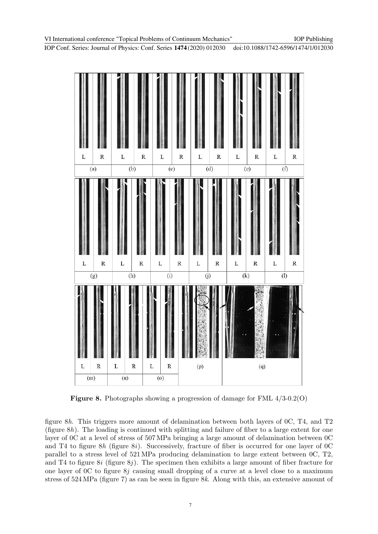

Figure 8. Photographs showing a progression of damage for FML 4/3-0.2(O)

figure 8h. This triggers more amount of delamination between both layers of 0C, T4, and T2 (figure  $8h$ ). The loading is continued with splitting and failure of fiber to a large extent for one layer of 0C at a level of stress of 507 MPa bringing a large amount of delamination between 0C and T4 to figure  $8h$  (figure  $8i$ ). Successively, fracture of fiber is occurred for one layer of 0C parallel to a stress level of 521 MPa producing delamination to large extent between 0C, T2, and T4 to figure  $8i$  (figure  $8j$ ). The specimen then exhibits a large amount of fiber fracture for one layer of 0C to figure 8j causing small dropping of a curve at a level close to a maximum stress of 524 MPa (figure 7) as can be seen in figure 8k. Along with this, an extensive amount of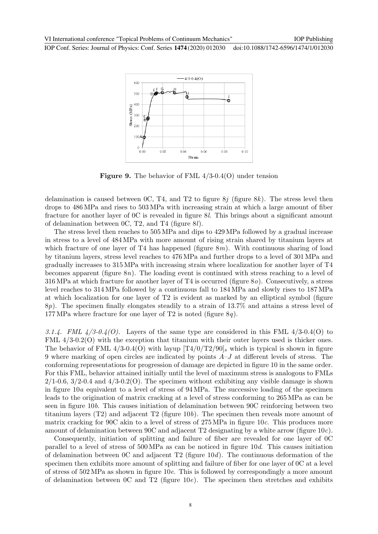

Figure 9. The behavior of FML 4/3-0.4(O) under tension

delamination is caused between  $0C$ , T4, and T2 to figure  $8i$  (figure  $8k$ ). The stress level then drops to 486 MPa and rises to 503 MPa with increasing strain at which a large amount of fiber fracture for another layer of 0C is revealed in figure 8l. This brings about a significant amount of delamination between 0C, T2, and T4 (figure 8l).

The stress level then reaches to 505 MPa and dips to 429 MPa followed by a gradual increase in stress to a level of 484 MPa with more amount of rising strain shared by titanium layers at which fracture of one layer of T4 has happened (figure  $8m$ ). With continuous sharing of load by titanium layers, stress level reaches to 476 MPa and further drops to a level of 301 MPa and gradually increases to 315 MPa with increasing strain where localization for another layer of T4 becomes apparent (figure 8n). The loading event is continued with stress reaching to a level of 316 MPa at which fracture for another layer of T4 is occurred (figure 8o). Consecutively, a stress level reaches to 314 MPa followed by a continuous fall to 184 MPa and slowly rises to 187 MPa at which localization for one layer of T2 is evident as marked by an elliptical symbol (figure 8p). The specimen finally elongates steadily to a strain of 13.7% and attains a stress level of 177 MPa where fracture for one layer of T2 is noted (figure  $8q$ ).

3.1.4. FML  $\frac{4}{3.0.4(0)}$ . Layers of the same type are considered in this FML  $\frac{4}{3.0.4(0)}$  to FML  $4/3$ -0.2(O) with the exception that titanium with their outer layers used is thicker ones. The behavior of FML 4/3-0.4(O) with layup  $[T4/0/T2/90]$ <sub>s</sub> which is typical is shown in figure 9 where marking of open circles are indicated by points  $A-J$  at different levels of stress. The conforming representations for progression of damage are depicted in figure 10 in the same order. For this FML, behavior attained initially until the level of maximum stress is analogous to FMLs  $2/1$ -0.6,  $3/2$ -0.4 and  $4/3$ -0.2(O). The specimen without exhibiting any visible damage is shown in figure 10a equivalent to a level of stress of 94 MPa. The successive loading of the specimen leads to the origination of matrix cracking at a level of stress conforming to 265 MPa as can be seen in figure 10b. This causes initiation of delamination between 90C reinforcing between two titanium layers (T2) and adjacent T2 (figure  $10b$ ). The specimen then reveals more amount of matrix cracking for 90C akin to a level of stress of 275 MPa in figure 10c. This produces more amount of delamination between 90C and adjacent T2 designating by a white arrow (figure 10c).

Consequently, initiation of splitting and failure of fiber are revealed for one layer of 0C parallel to a level of stress of 500 MPa as can be noticed in figure 10d. This causes initiation of delamination between 0C and adjacent  $T2$  (figure 10d). The continuous deformation of the specimen then exhibits more amount of splitting and failure of fiber for one layer of 0C at a level of stress of 502 MPa as shown in figure 10e. This is followed by correspondingly a more amount of delamination between 0C and T2 (figure  $10e$ ). The specimen then stretches and exhibits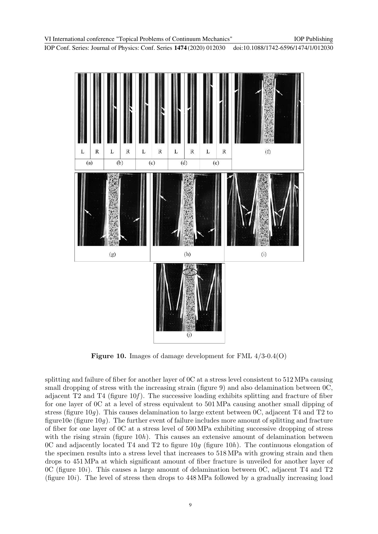

Figure 10. Images of damage development for FML 4/3-0.4(O)

splitting and failure of fiber for another layer of 0C at a stress level consistent to 512 MPa causing small dropping of stress with the increasing strain (figure 9) and also delamination between  $0<sub>C</sub>$ , adjacent  $T2$  and  $T4$  (figure 10f). The successive loading exhibits splitting and fracture of fiber for one layer of 0C at a level of stress equivalent to 501 MPa causing another small dipping of stress (figure 10g). This causes delamination to large extent between 0C, adjacent T4 and T2 to figure 10g (figure 10g). The further event of failure includes more amount of splitting and fracture of fiber for one layer of 0C at a stress level of 500 MPa exhibiting successive dropping of stress with the rising strain (figure 10h). This causes an extensive amount of delamination between 0C and adjacently located T4 and T2 to figure 10g (figure 10h). The continuous elongation of the specimen results into a stress level that increases to 518 MPa with growing strain and then drops to 451 MPa at which significant amount of fiber fracture is unveiled for another layer of 0C (figure 10*i*). This causes a large amount of delamination between 0C, adjacent T4 and T2 (figure  $10i$ ). The level of stress then drops to  $448 \text{ MPa}$  followed by a gradually increasing load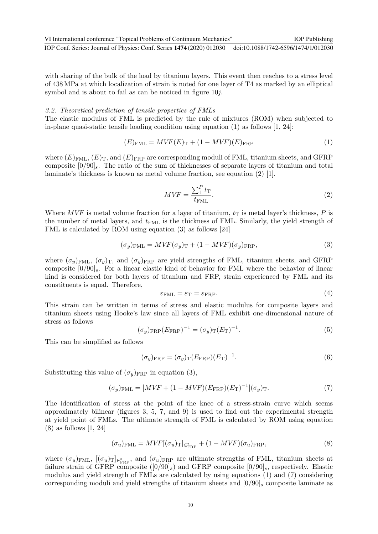with sharing of the bulk of the load by titanium layers. This event then reaches to a stress level of 438 MPa at which localization of strain is noted for one layer of T4 as marked by an elliptical symbol and is about to fail as can be noticed in figure 10j.

### 3.2. Theoretical prediction of tensile properties of FMLs

The elastic modulus of FML is predicted by the rule of mixtures (ROM) when subjected to in-plane quasi-static tensile loading condition using equation  $(1)$  as follows  $[1, 24]$ :

$$
(E)_{\text{FML}} = MVF(E)_{\text{T}} + (1 - MVF)(E)_{\text{FRP}} \tag{1}
$$

where  $(E)_{\text{FML}}$ ,  $(E)_{\text{T}}$ , and  $(E)_{\text{FRP}}$  are corresponding moduli of FML, titanium sheets, and GFRP composite  $[0/90]_s$ . The ratio of the sum of thicknesses of separate layers of titanium and total laminate's thickness is known as metal volume fraction, see equation (2) [1].

$$
MVF = \frac{\sum_{1}^{P} t_{\text{T}}}{t_{\text{FML}}}.
$$
\n(2)

IOP Publishing

Where MVF is metal volume fraction for a layer of titanium,  $t<sub>T</sub>$  is metal layer's thickness, P is the number of metal layers, and  $t_{\text{FML}}$  is the thickness of FML. Similarly, the yield strength of FML is calculated by ROM using equation (3) as follows [24]

$$
(\sigma_y)_{\text{FML}} = MVF(\sigma_y)_{\text{T}} + (1 - MVF)(\sigma_y)_{\text{FRP}},
$$
\n(3)

where  $(\sigma_y)_{\text{FML}}$ ,  $(\sigma_y)_{\text{T}}$ , and  $(\sigma_y)_{\text{FRP}}$  are yield strengths of FML, titanium sheets, and GFRP composite  $[0/90]_s$ . For a linear elastic kind of behavior for FML where the behavior of linear kind is considered for both layers of titanium and FRP, strain experienced by FML and its constituents is equal. Therefore,

$$
\varepsilon_{\text{FML}} = \varepsilon_{\text{T}} = \varepsilon_{\text{FRP}}.\tag{4}
$$

This strain can be written in terms of stress and elastic modulus for composite layers and titanium sheets using Hooke's law since all layers of FML exhibit one-dimensional nature of stress as follows

$$
(\sigma_y)_{\text{FRP}} (E_{\text{FRP}})^{-1} = (\sigma_y)_{\text{T}} (E_{\text{T}})^{-1}.
$$
\n
$$
(5)
$$

This can be simplified as follows

$$
(\sigma_y)_{\text{FRP}} = (\sigma_y)_{\text{T}} (E_{\text{FRP}}) (E_{\text{T}})^{-1}.
$$
\n(6)

Substituting this value of  $(\sigma_y)_{\text{FRP}}$  in equation (3),

$$
(\sigma_y)_{\text{FML}} = [MVF + (1 - MVF)(E_{\text{FRP}})(E_{\text{T}})^{-1}](\sigma_y)_{\text{T}}.
$$
\n(7)

The identification of stress at the point of the knee of a stress-strain curve which seems approximately bilinear (figures 3, 5, 7, and 9) is used to find out the experimental strength at yield point of FMLs. The ultimate strength of FML is calculated by ROM using equation (8) as follows [1, 24]

$$
(\sigma_u)_{\text{FML}} = MVF[(\sigma_u)_{T}]_{\in_{\text{FRP}}^{*}} + (1 - MVF)(\sigma_u)_{\text{FRP}},
$$
\n(8)

where  $(\sigma_u)_{\text{FML}}$ ,  $[(\sigma_u)_{\text{T}}]_{\in_{\text{FRP}}^*}$ , and  $(\sigma_u)_{\text{FRP}}$  are ultimate strengths of FML, titanium sheets at failure strain of GFRP composite  $([0/90]_s)$  and GFRP composite  $[0/90]_s$ , respectively. Elastic modulus and yield strength of FMLs are calculated by using equations (1) and (7) considering corresponding moduli and yield strengths of titanium sheets and  $[0/90]_s$  composite laminate as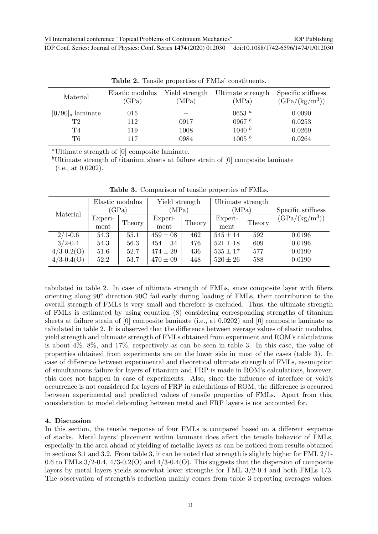| $\text{Table 4:}$ Lembro properties of FRIES combination. |                          |                         |                            |                                        |  |  |  |  |
|-----------------------------------------------------------|--------------------------|-------------------------|----------------------------|----------------------------------------|--|--|--|--|
| Material                                                  | Elastic modulus<br>(GPa) | Yield strength<br>(MPa) | Ultimate strength<br>(MPa) | Specific stiffness<br>$(GPa/(kg/m^3))$ |  |  |  |  |
| $[0/90]_s$ laminate                                       | 015                      |                         | 0653 $a$                   | 0.0090                                 |  |  |  |  |
| T2                                                        | 112                      | 0917                    | 0967 b                     | 0.0253                                 |  |  |  |  |
| T4                                                        | 119                      | 1008                    | 1040 b                     | 0.0269                                 |  |  |  |  |
| T6                                                        | 117                      | 0984                    | 1005 b                     | 0.0264                                 |  |  |  |  |

Table 2. Tensile properties of FMLs' constituents.

<sup>a</sup>Ultimate strength of [0] composite laminate.

<sup>b</sup>Ultimate strength of titanium sheets at failure strain of  $[0]$  composite laminate (i.e., at 0.0202).

| Material       | Elastic modulus<br>(GPa) |        | Yield strength<br>(MPa) |        | Ultimate strength<br>(MPa) |        | Specific stiffness |
|----------------|--------------------------|--------|-------------------------|--------|----------------------------|--------|--------------------|
|                | Experi-<br>ment          | Theory | Experi-<br>ment         | Theory | Experi-<br>ment            | Theory | $(GPa/(kg/m^3))$   |
| $2/1 - 0.6$    | 54.3                     | 55.1   | $459 \pm 08$            | 462    | $545 \pm 14$               | 592    | 0.0196             |
| $3/2 - 0.4$    | 54.3                     | 56.3   | $454 \pm 34$            | 476    | $521 \pm 18$               | 609    | 0.0196             |
| $4/3 - 0.2(0)$ | 51.6                     | 52.7   | $474 \pm 29$            | 436    | $535 \pm 17$               | 577    | 0.0190             |
| $4/3 - 0.4(O)$ | 52.2                     | 53.7   | $470 \pm 09$            | 448    | $520 \pm 26$               | 588    | 0.0190             |

Table 3. Comparison of tensile properties of FMLs.

tabulated in table 2. In case of ultimate strength of FMLs, since composite layer with fibers orienting along 90◦ direction 90C fail early during loading of FMLs, their contribution to the overall strength of FMLs is very small and therefore is excluded. Thus, the ultimate strength of FMLs is estimated by using equation (8) considering corresponding strengths of titanium sheets at failure strain of [0] composite laminate (i.e., at 0.0202) and [0] composite laminate as tabulated in table 2. It is observed that the difference between average values of elastic modulus, yield strength and ultimate strength of FMLs obtained from experiment and ROM's calculations is about 4%, 8%, and 17%, respectively as can be seen in table 3. In this case, the value of properties obtained from experiments are on the lower side in most of the cases (table 3). In case of difference between experimental and theoretical ultimate strength of FMLs, assumption of simultaneous failure for layers of titanium and FRP is made in ROM's calculations, however, this does not happen in case of experiments. Also, since the influence of interface or void's occurrence is not considered for layers of FRP in calculations of ROM, the difference is occurred between experimental and predicted values of tensile properties of FMLs. Apart from this, consideration to model debonding between metal and FRP layers is not accounted for.

### 4. Discussion

In this section, the tensile response of four FMLs is compared based on a different sequence of stacks. Metal layers' placement within laminate does affect the tensile behavior of FMLs, especially in the area ahead of yielding of metallic layers as can be noticed from results obtained in sections 3.1 and 3.2. From table 3, it can be noted that strength is slightly higher for FML 2/1- 0.6 to FMLs  $3/2$ -0.4,  $4/3$ -0.2(O) and  $4/3$ -0.4(O). This suggests that the dispersion of composite layers by metal layers yields somewhat lower strengths for FML 3/2-0.4 and both FMLs 4/3. The observation of strength's reduction mainly comes from table 3 reporting averages values.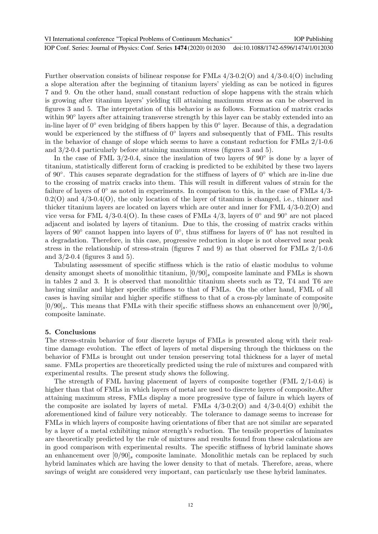Further observation consists of bilinear response for FMLs 4/3-0.2(O) and 4/3-0.4(O) including a slope alteration after the beginning of titanium layers' yielding as can be noticed in figures 7 and 9. On the other hand, small constant reduction of slope happens with the strain which is growing after titanium layers' yielding till attaining maximum stress as can be observed in figures 3 and 5. The interpretation of this behavior is as follows. Formation of matrix cracks within 90° layers after attaining transverse strength by this layer can be stably extended into an in-line layer of 0◦ even bridging of fibers happen by this 0◦ layer. Because of this, a degradation would be experienced by the stiffness of  $0^{\circ}$  layers and subsequently that of FML. This results in the behavior of change of slope which seems to have a constant reduction for FMLs 2/1-0.6 and 3/2-0.4 particularly before attaining maximum stress (figures 3 and 5).

In the case of FML 3/2-0.4, since the insulation of two layers of  $90°$  is done by a layer of titanium, statistically different form of cracking is predicted to be exhibited by these two layers of 90◦ . This causes separate degradation for the stiffness of layers of 0◦ which are in-line due to the crossing of matrix cracks into them. This will result in different values of strain for the failure of layers of 0◦ as noted in experiments. In comparison to this, in the case of FMLs 4/3-  $0.2(O)$  and  $4/3-0.4(O)$ , the only location of the layer of titanium is changed, i.e., thinner and thicker titanium layers are located on layers which are outer and inner for FML 4/3-0.2(O) and vice versa for FML 4/3-0.4(O). In these cases of FMLs 4/3, layers of  $0°$  and  $90°$  are not placed adjacent and isolated by layers of titanium. Due to this, the crossing of matrix cracks within layers of 90° cannot happen into layers of 0°, thus stiffness for layers of 0° has not resulted in a degradation. Therefore, in this case, progressive reduction in slope is not observed near peak stress in the relationship of stress-strain (figures 7 and 9) as that observed for FMLs 2/1-0.6 and  $3/2$ -0.4 (figures 3 and 5).

Tabulating assessment of specific stiffness which is the ratio of elastic modulus to volume density amongst sheets of monolithic titanium,  $[0/90]_s$  composite laminate and FMLs is shown in tables 2 and 3. It is observed that monolithic titanium sheets such as T2, T4 and T6 are having similar and higher specific stiffness to that of FMLs. On the other hand, FML of all cases is having similar and higher specific stiffness to that of a cross-ply laminate of composite  $[0/90]$ <sub>s</sub>. This means that FMLs with their specific stiffness shows an enhancement over  $[0/90]$ <sub>s</sub> composite laminate.

# 5. Conclusions

The stress-strain behavior of four discrete layups of FMLs is presented along with their realtime damage evolution. The effect of layers of metal dispersing through the thickness on the behavior of FMLs is brought out under tension preserving total thickness for a layer of metal same. FMLs properties are theoretically predicted using the rule of mixtures and compared with experimental results. The present study shows the following.

The strength of FML having placement of layers of composite together (FML 2/1-0.6) is higher than that of FMLs in which layers of metal are used to discrete layers of composite.After attaining maximum stress, FMLs display a more progressive type of failure in which layers of the composite are isolated by layers of metal. FMLs  $4/3$ -0.2(O) and  $4/3$ -0.4(O) exhibit the aforementioned kind of failure very noticeably. The tolerance to damage seems to increase for FMLs in which layers of composite having orientations of fiber that are not similar are separated by a layer of a metal exhibiting minor strength's reduction. The tensile properties of laminates are theoretically predicted by the rule of mixtures and results found from these calculations are in good comparison with experimental results. The specific stiffness of hybrid laminate shows an enhancement over  $[0/90]_s$  composite laminate. Monolithic metals can be replaced by such hybrid laminates which are having the lower density to that of metals. Therefore, areas, where savings of weight are considered very important, can particularly use these hybrid laminates.